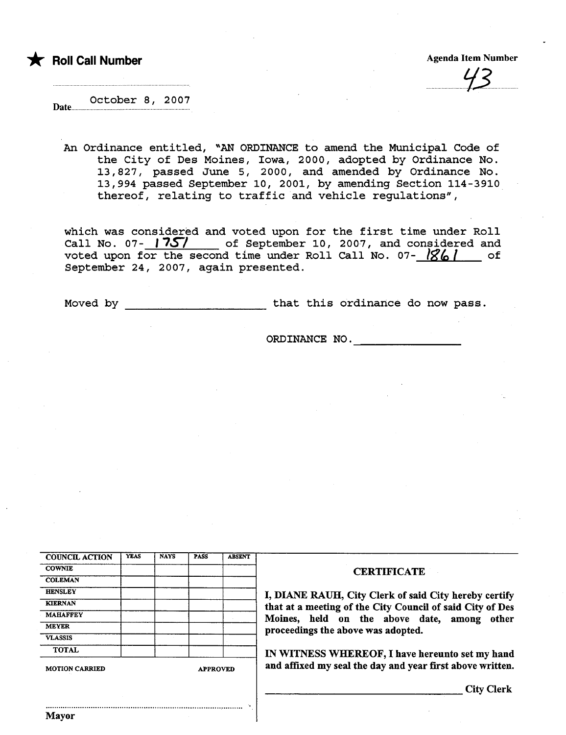\* Roll Call Number Agenda Item Number Agenda Item Number

.......................'13....

October 8, 2007 Date.............

An Ordinance entitled, "AN ORDINANCE to amend the Municipal Code of the City of Des Moines, Iowa, 2000, adopted by Ordinance No. 13,827, passed June 5, 2000, and amended by Ordinance No. 13,994 passed September 10, 2001, by amending Section 114-3910 thereof, relating to traffic and vehicle regulations",

which was considered and voted upon for the first time under Roll Call No. 07-  $1757$  of September 10, 2007, and considered and voted upon for the second time under Roll Call No. 07-  $1861$  of September 24, 2007, again presented.

Moved by that this ordinance do now pass.

ORDINANCE NO.

| <b>COUNCIL ACTION</b> | <b>YEAS</b> | <b>NAYS</b>     | <b>PASS</b> | <b>ABSENT</b> |
|-----------------------|-------------|-----------------|-------------|---------------|
| <b>COWNIE</b>         |             |                 |             |               |
| <b>COLEMAN</b>        |             |                 |             |               |
| <b>HENSLEY</b>        |             |                 |             |               |
| <b>KIERNAN</b>        |             |                 |             |               |
| <b>MAHAFFEY</b>       |             |                 |             |               |
| <b>MEYER</b>          |             |                 |             |               |
| <b>VLASSIS</b>        |             |                 |             |               |
| <b>TOTAL</b>          |             |                 |             |               |
| <b>MOTION CARRIED</b> |             | <b>APPROVED</b> |             |               |

...........................................................................................

#### **CERTIFICATE**

I, DIANE RAUH, City Clerk of said City hereby certify that at a meeting of the City Council of said City of Des Moines, held on the above date, among other proceedings the above was adopted.

IN WITNESS WHEREOF, I have hereunto set my hand and affixed my seal the day and year first above written.

City Clerk

Mayor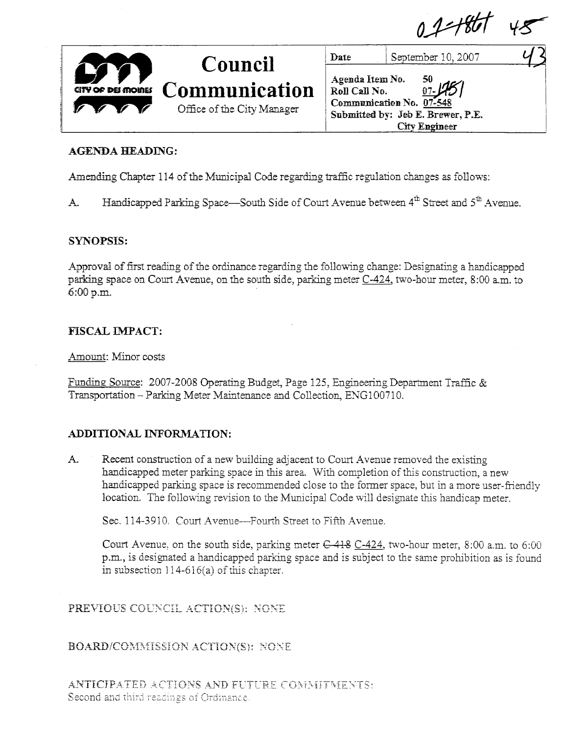01=18tot 42

|                                             | <b>Council</b>                                     | Date                             | September 10, 2007                                                                                         |  |
|---------------------------------------------|----------------------------------------------------|----------------------------------|------------------------------------------------------------------------------------------------------------|--|
| <b>CITY OF DEI MOINES</b><br><b>V</b> V V V | <b>Communication</b><br>Office of the City Manager | Agenda Item No.<br>Roll Call No. | 50<br>$\frac{50}{07}175$<br>Communication No. 07-548<br>Submitted by: Jeb E. Brewer, P.E.<br>City Engineer |  |

#### **AGENDA HEADING:**

Amending Chapter 114 of the Municipal Code regarding traffic regulation changes as follows:

Handicapped Parking Space—South Side of Court Avenue between 4<sup>th</sup> Street and 5<sup>th</sup> Avenue.  $A$ .

#### **SYNOPSIS:**

Approval of first reading of the ordinance regarding the following change: Designating a handicapped parking space on Court Avenue, on the south side, parking meter C-424, two-hour meter, 8:00 a.m. to  $6:00 p.m.$ 

# **FISCAL IMPACT:**

Amount: Minor costs

Funding Source: 2007-2008 Operating Budget, Page 125, Engineering Department Traffic & Transportation - Parking Meter Maintenance and Collection, ENG100710.

# ADDITIONAL INFORMATION:

 $A.$ Recent construction of a new building adjacent to Court Avenue removed the existing handicapped meter parking space in this area. With completion of this construction, a new handicapped parking space is recommended close to the former space, but in a more user-friendly location. The following revision to the Municipal Code will designate this handicap meter.

Sec. 114-3910. Court Avenue—Fourth Street to Fifth Avenue.

Court Avenue, on the south side, parking meter C-418 C-424, two-hour meter, 8:00 a.m. to 6:00 p.m., is designated a handicapped parking space and is subject to the same prohibition as is found in subsection  $114-616(a)$  of this chapter.

PREVIOUS COUNCIL ACTION(S): NONE

# **BOARD/COMMISSION ACTION(S): NONE**

ANTICIPATED ACTIONS AND FUTURE COMMITMENTS: Second and third readings of Ordinance.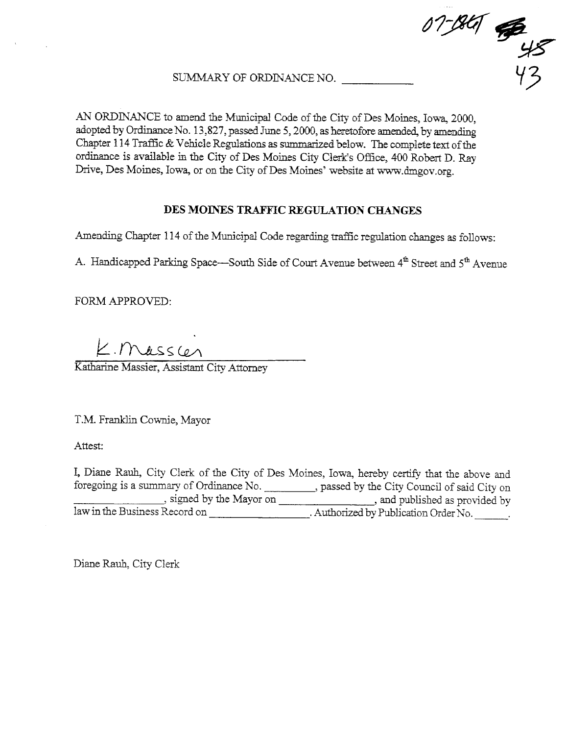SUMMARY OF ORDINANCE NO.

AN ORDINANCE to amend the Municipal Code of the City of Des Moines, Iowa, 2000. adopted by Ordinance No. 13,827, passed June 5, 2000, as heretofore amended, by amending Chapter 114 Traffic & Vehicle Regulations as summarized below. The complete text of the ordinance is available in the City of Des Moines City Clerk's Office, 400 Robert D. Rav Drive, Des Moines, Iowa, or on the City of Des Moines' website at www.dmgov.org.

#### DES MOINES TRAFFIC REGULATION CHANGES

 $07 - 1847$ 

Amending Chapter 114 of the Municipal Code regarding traffic regulation changes as follows:

A. Handicapped Parking Space—South Side of Court Avenue between 4<sup>th</sup> Street and 5<sup>th</sup> Avenue

FORM APPROVED:

K. Massier

Katharine Massier, Assistant City Attorney

T.M. Franklin Cownie, Mayor

Attest:

I, Diane Rauh, City Clerk of the City of Des Moines, Iowa, hereby certify that the above and foregoing is a summary of Ordinance No. \_\_\_\_\_\_\_\_\_, passed by the City Council of said City on 

Diane Rauh, City Clerk